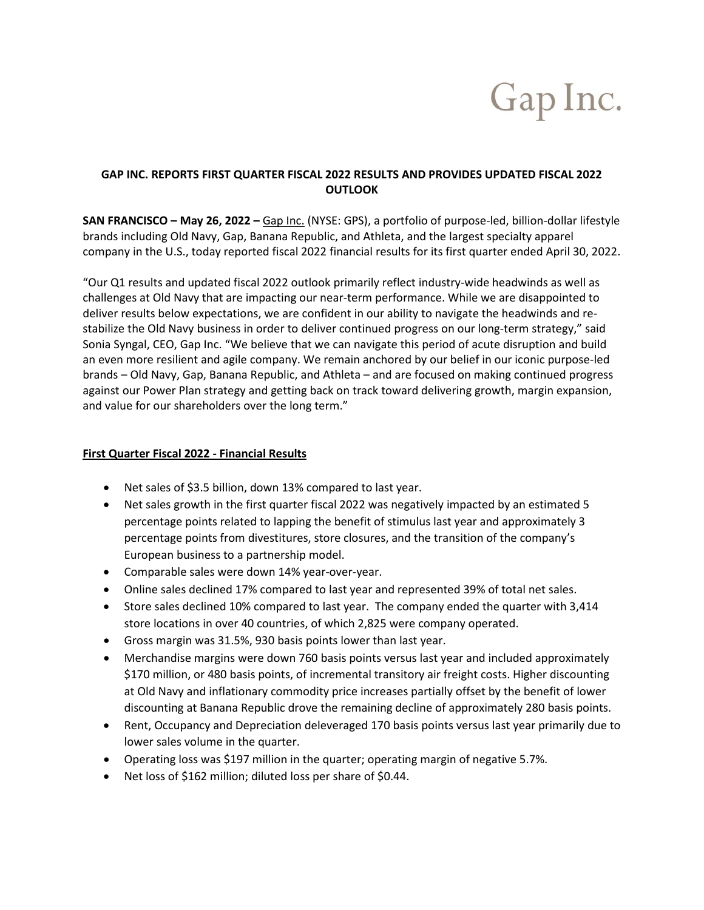# Gap Inc.

## **GAP INC. REPORTS FIRST QUARTER FISCAL 2022 RESULTS AND PROVIDES UPDATED FISCAL 2022 OUTLOOK**

**SAN FRANCISCO – May 26, 2022 –** [Gap Inc.](http://www.gapinc.com/) (NYSE: GPS), a portfolio of purpose-led, billion-dollar lifestyle brands including Old Navy, Gap, Banana Republic, and Athleta, and the largest specialty apparel company in the U.S., today reported fiscal 2022 financial results for its first quarter ended April 30, 2022.

"Our Q1 results and updated fiscal 2022 outlook primarily reflect industry-wide headwinds as well as challenges at Old Navy that are impacting our near-term performance. While we are disappointed to deliver results below expectations, we are confident in our ability to navigate the headwinds and restabilize the Old Navy business in order to deliver continued progress on our long-term strategy," said Sonia Syngal, CEO, Gap Inc. "We believe that we can navigate this period of acute disruption and build an even more resilient and agile company. We remain anchored by our belief in our iconic purpose-led brands – Old Navy, Gap, Banana Republic, and Athleta – and are focused on making continued progress against our Power Plan strategy and getting back on track toward delivering growth, margin expansion, and value for our shareholders over the long term."

## **First Quarter Fiscal 2022 - Financial Results**

- Net sales of \$3.5 billion, down 13% compared to last year.
- Net sales growth in the first quarter fiscal 2022 was negatively impacted by an estimated 5 percentage points related to lapping the benefit of stimulus last year and approximately 3 percentage points from divestitures, store closures, and the transition of the company's European business to a partnership model.
- Comparable sales were down 14% year-over-year.
- Online sales declined 17% compared to last year and represented 39% of total net sales.
- Store sales declined 10% compared to last year. The company ended the quarter with 3,414 store locations in over 40 countries, of which 2,825 were company operated.
- Gross margin was 31.5%, 930 basis points lower than last year.
- Merchandise margins were down 760 basis points versus last year and included approximately \$170 million, or 480 basis points, of incremental transitory air freight costs. Higher discounting at Old Navy and inflationary commodity price increases partially offset by the benefit of lower discounting at Banana Republic drove the remaining decline of approximately 280 basis points.
- Rent, Occupancy and Depreciation deleveraged 170 basis points versus last year primarily due to lower sales volume in the quarter.
- Operating loss was \$197 million in the quarter; operating margin of negative 5.7%.
- Net loss of \$162 million; diluted loss per share of \$0.44.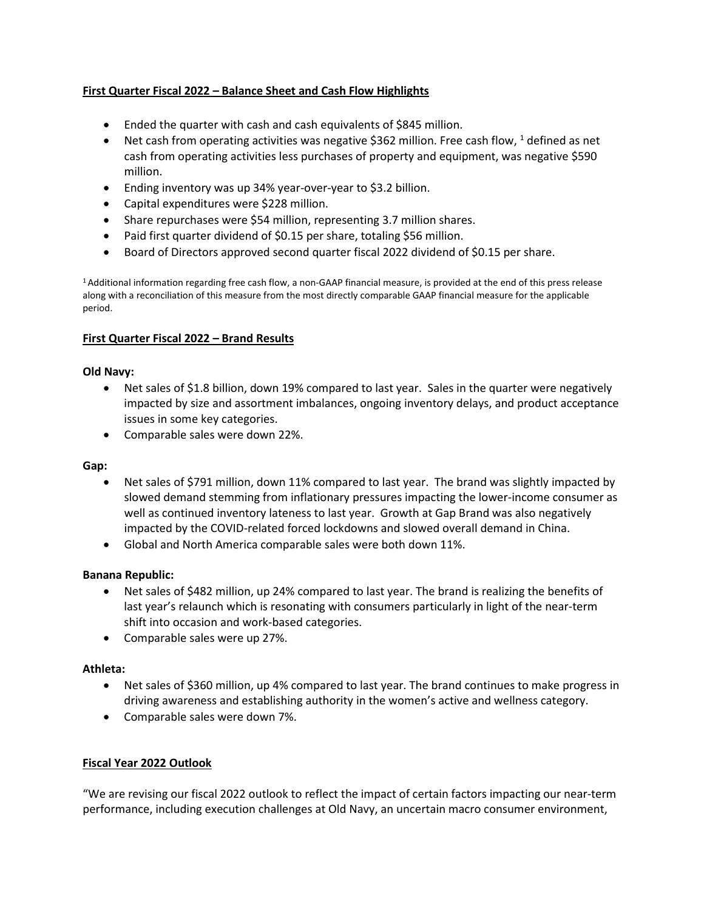## **First Quarter Fiscal 2022 – Balance Sheet and Cash Flow Highlights**

- Ended the quarter with cash and cash equivalents of \$845 million.
- Net cash from operating activities was negative \$362 million. Free cash flow,  $1$  defined as net cash from operating activities less purchases of property and equipment, was negative \$590 million.
- Ending inventory was up 34% year-over-year to \$3.2 billion.
- Capital expenditures were \$228 million.
- Share repurchases were \$54 million, representing 3.7 million shares.
- Paid first quarter dividend of \$0.15 per share, totaling \$56 million.
- Board of Directors approved second quarter fiscal 2022 dividend of \$0.15 per share.

1 Additional information regarding free cash flow, a non-GAAP financial measure, is provided at the end of this press release along with a reconciliation of this measure from the most directly comparable GAAP financial measure for the applicable period.

#### **First Quarter Fiscal 2022 – Brand Results**

#### **Old Navy:**

- Net sales of \$1.8 billion, down 19% compared to last year. Sales in the quarter were negatively impacted by size and assortment imbalances, ongoing inventory delays, and product acceptance issues in some key categories.
- Comparable sales were down 22%.

#### **Gap:**

- Net sales of \$791 million, down 11% compared to last year. The brand was slightly impacted by slowed demand stemming from inflationary pressures impacting the lower-income consumer as well as continued inventory lateness to last year. Growth at Gap Brand was also negatively impacted by the COVID-related forced lockdowns and slowed overall demand in China.
- Global and North America comparable sales were both down 11%.

#### **Banana Republic:**

- Net sales of \$482 million, up 24% compared to last year. The brand is realizing the benefits of last year's relaunch which is resonating with consumers particularly in light of the near-term shift into occasion and work-based categories.
- Comparable sales were up 27%.

#### **Athleta:**

- Net sales of \$360 million, up 4% compared to last year. The brand continues to make progress in driving awareness and establishing authority in the women's active and wellness category.
- Comparable sales were down 7%.

#### **Fiscal Year 2022 Outlook**

"We are revising our fiscal 2022 outlook to reflect the impact of certain factors impacting our near-term performance, including execution challenges at Old Navy, an uncertain macro consumer environment,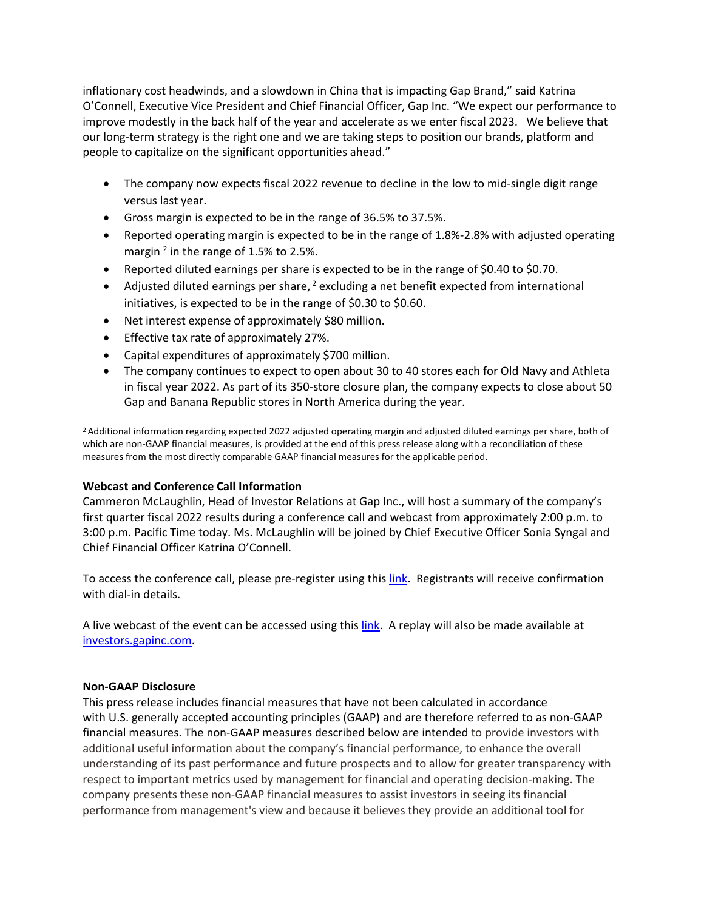inflationary cost headwinds, and a slowdown in China that is impacting Gap Brand," said Katrina O'Connell, Executive Vice President and Chief Financial Officer, Gap Inc. "We expect our performance to improve modestly in the back half of the year and accelerate as we enter fiscal 2023. We believe that our long-term strategy is the right one and we are taking steps to position our brands, platform and people to capitalize on the significant opportunities ahead."

- The company now expects fiscal 2022 revenue to decline in the low to mid-single digit range versus last year.
- Gross margin is expected to be in the range of 36.5% to 37.5%.
- Reported operating margin is expected to be in the range of 1.8%-2.8% with adjusted operating margin  $^2$  in the range of 1.5% to 2.5%.
- Reported diluted earnings per share is expected to be in the range of \$0.40 to \$0.70.
- Adjusted diluted earnings per share,  $2$  excluding a net benefit expected from international initiatives, is expected to be in the range of \$0.30 to \$0.60.
- Net interest expense of approximately \$80 million.
- Effective tax rate of approximately 27%.
- Capital expenditures of approximately \$700 million.
- The company continues to expect to open about 30 to 40 stores each for Old Navy and Athleta in fiscal year 2022. As part of its 350-store closure plan, the company expects to close about 50 Gap and Banana Republic stores in North America during the year.

2 Additional information regarding expected 2022 adjusted operating margin and adjusted diluted earnings per share, both of which are non-GAAP financial measures, is provided at the end of this press release along with a reconciliation of these measures from the most directly comparable GAAP financial measures for the applicable period.

#### **Webcast and Conference Call Information**

Cammeron McLaughlin, Head of Investor Relations at Gap Inc., will host a summary of the company's first quarter fiscal 2022 results during a conference call and webcast from approximately 2:00 p.m. to 3:00 p.m. Pacific Time today. Ms. McLaughlin will be joined by Chief Executive Officer Sonia Syngal and Chief Financial Officer Katrina O'Connell.

To access the conference call, please pre-register using thi[s link.](https://www.incommglobalevents.com/registration/q4inc/10772/gap-inc-q1-2022-earnings-call/) Registrants will receive confirmation with dial-in details.

A live webcast of the event can be accessed using thi[s link.](https://events.q4inc.com/attendee/660505929) A replay will also be made available at [investors.gapinc.com.](https://investors.gapinc.com/)

#### **Non-GAAP Disclosure**

This press release includes financial measures that have not been calculated in accordance with U.S. generally accepted accounting principles (GAAP) and are therefore referred to as non-GAAP financial measures. The non-GAAP measures described below are intended to provide investors with additional useful information about the company's financial performance, to enhance the overall understanding of its past performance and future prospects and to allow for greater transparency with respect to important metrics used by management for financial and operating decision-making. The company presents these non-GAAP financial measures to assist investors in seeing its financial performance from management's view and because it believes they provide an additional tool for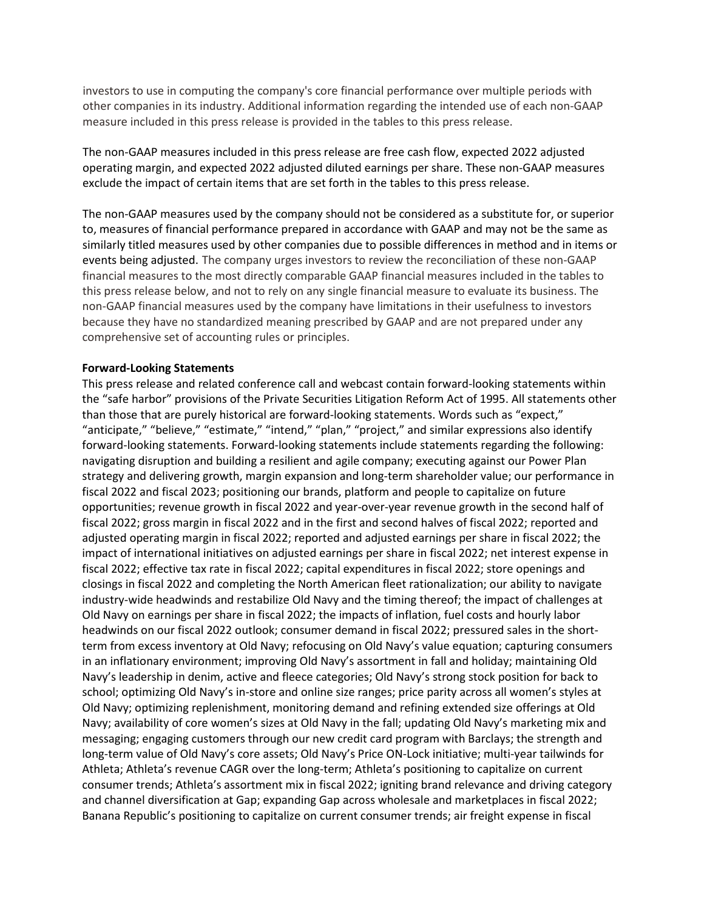investors to use in computing the company's core financial performance over multiple periods with other companies in its industry. Additional information regarding the intended use of each non-GAAP measure included in this press release is provided in the tables to this press release.

The non-GAAP measures included in this press release are free cash flow, expected 2022 adjusted operating margin, and expected 2022 adjusted diluted earnings per share. These non-GAAP measures exclude the impact of certain items that are set forth in the tables to this press release.

The non-GAAP measures used by the company should not be considered as a substitute for, or superior to, measures of financial performance prepared in accordance with GAAP and may not be the same as similarly titled measures used by other companies due to possible differences in method and in items or events being adjusted. The company urges investors to review the reconciliation of these non-GAAP financial measures to the most directly comparable GAAP financial measures included in the tables to this press release below, and not to rely on any single financial measure to evaluate its business. The non-GAAP financial measures used by the company have limitations in their usefulness to investors because they have no standardized meaning prescribed by GAAP and are not prepared under any comprehensive set of accounting rules or principles.

#### **Forward-Looking Statements**

This press release and related conference call and webcast contain forward-looking statements within the "safe harbor" provisions of the Private Securities Litigation Reform Act of 1995. All statements other than those that are purely historical are forward-looking statements. Words such as "expect," "anticipate," "believe," "estimate," "intend," "plan," "project," and similar expressions also identify forward-looking statements. Forward-looking statements include statements regarding the following: navigating disruption and building a resilient and agile company; executing against our Power Plan strategy and delivering growth, margin expansion and long-term shareholder value; our performance in fiscal 2022 and fiscal 2023; positioning our brands, platform and people to capitalize on future opportunities; revenue growth in fiscal 2022 and year-over-year revenue growth in the second half of fiscal 2022; gross margin in fiscal 2022 and in the first and second halves of fiscal 2022; reported and adjusted operating margin in fiscal 2022; reported and adjusted earnings per share in fiscal 2022; the impact of international initiatives on adjusted earnings per share in fiscal 2022; net interest expense in fiscal 2022; effective tax rate in fiscal 2022; capital expenditures in fiscal 2022; store openings and closings in fiscal 2022 and completing the North American fleet rationalization; our ability to navigate industry-wide headwinds and restabilize Old Navy and the timing thereof; the impact of challenges at Old Navy on earnings per share in fiscal 2022; the impacts of inflation, fuel costs and hourly labor headwinds on our fiscal 2022 outlook; consumer demand in fiscal 2022; pressured sales in the shortterm from excess inventory at Old Navy; refocusing on Old Navy's value equation; capturing consumers in an inflationary environment; improving Old Navy's assortment in fall and holiday; maintaining Old Navy's leadership in denim, active and fleece categories; Old Navy's strong stock position for back to school; optimizing Old Navy's in-store and online size ranges; price parity across all women's styles at Old Navy; optimizing replenishment, monitoring demand and refining extended size offerings at Old Navy; availability of core women's sizes at Old Navy in the fall; updating Old Navy's marketing mix and messaging; engaging customers through our new credit card program with Barclays; the strength and long-term value of Old Navy's core assets; Old Navy's Price ON-Lock initiative; multi-year tailwinds for Athleta; Athleta's revenue CAGR over the long-term; Athleta's positioning to capitalize on current consumer trends; Athleta's assortment mix in fiscal 2022; igniting brand relevance and driving category and channel diversification at Gap; expanding Gap across wholesale and marketplaces in fiscal 2022; Banana Republic's positioning to capitalize on current consumer trends; air freight expense in fiscal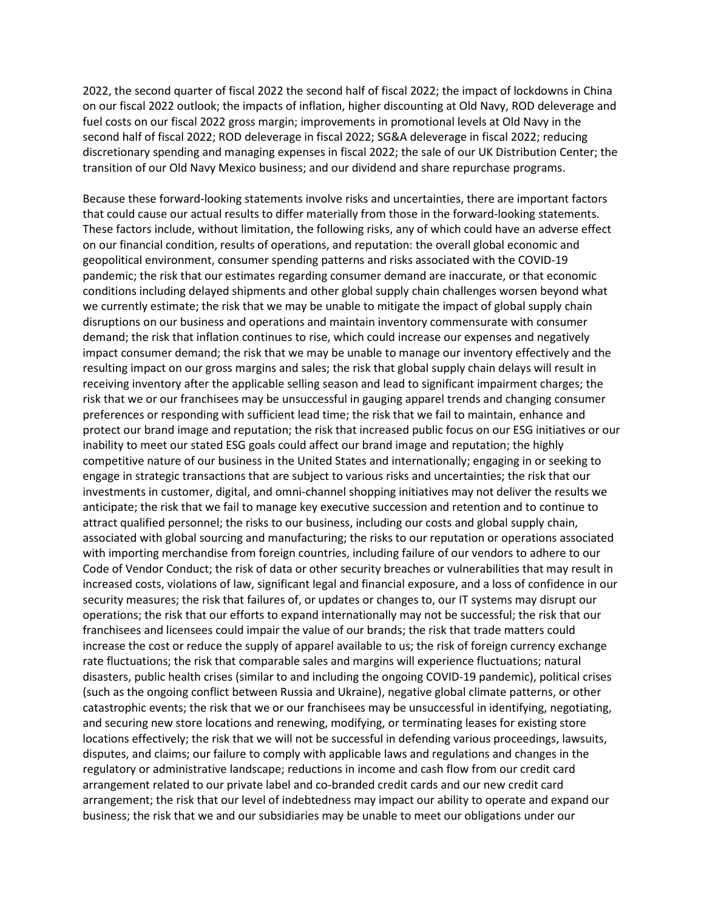2022, the second quarter of fiscal 2022 the second half of fiscal 2022; the impact of lockdowns in China on our fiscal 2022 outlook; the impacts of inflation, higher discounting at Old Navy, ROD deleverage and fuel costs on our fiscal 2022 gross margin; improvements in promotional levels at Old Navy in the second half of fiscal 2022; ROD deleverage in fiscal 2022; SG&A deleverage in fiscal 2022; reducing discretionary spending and managing expenses in fiscal 2022; the sale of our UK Distribution Center; the transition of our Old Navy Mexico business; and our dividend and share repurchase programs.

Because these forward-looking statements involve risks and uncertainties, there are important factors that could cause our actual results to differ materially from those in the forward-looking statements. These factors include, without limitation, the following risks, any of which could have an adverse effect on our financial condition, results of operations, and reputation: the overall global economic and geopolitical environment, consumer spending patterns and risks associated with the COVID-19 pandemic; the risk that our estimates regarding consumer demand are inaccurate, or that economic conditions including delayed shipments and other global supply chain challenges worsen beyond what we currently estimate; the risk that we may be unable to mitigate the impact of global supply chain disruptions on our business and operations and maintain inventory commensurate with consumer demand; the risk that inflation continues to rise, which could increase our expenses and negatively impact consumer demand; the risk that we may be unable to manage our inventory effectively and the resulting impact on our gross margins and sales; the risk that global supply chain delays will result in receiving inventory after the applicable selling season and lead to significant impairment charges; the risk that we or our franchisees may be unsuccessful in gauging apparel trends and changing consumer preferences or responding with sufficient lead time; the risk that we fail to maintain, enhance and protect our brand image and reputation; the risk that increased public focus on our ESG initiatives or our inability to meet our stated ESG goals could affect our brand image and reputation; the highly competitive nature of our business in the United States and internationally; engaging in or seeking to engage in strategic transactions that are subject to various risks and uncertainties; the risk that our investments in customer, digital, and omni-channel shopping initiatives may not deliver the results we anticipate; the risk that we fail to manage key executive succession and retention and to continue to attract qualified personnel; the risks to our business, including our costs and global supply chain, associated with global sourcing and manufacturing; the risks to our reputation or operations associated with importing merchandise from foreign countries, including failure of our vendors to adhere to our Code of Vendor Conduct; the risk of data or other security breaches or vulnerabilities that may result in increased costs, violations of law, significant legal and financial exposure, and a loss of confidence in our security measures; the risk that failures of, or updates or changes to, our IT systems may disrupt our operations; the risk that our efforts to expand internationally may not be successful; the risk that our franchisees and licensees could impair the value of our brands; the risk that trade matters could increase the cost or reduce the supply of apparel available to us; the risk of foreign currency exchange rate fluctuations; the risk that comparable sales and margins will experience fluctuations; natural disasters, public health crises (similar to and including the ongoing COVID-19 pandemic), political crises (such as the ongoing conflict between Russia and Ukraine), negative global climate patterns, or other catastrophic events; the risk that we or our franchisees may be unsuccessful in identifying, negotiating, and securing new store locations and renewing, modifying, or terminating leases for existing store locations effectively; the risk that we will not be successful in defending various proceedings, lawsuits, disputes, and claims; our failure to comply with applicable laws and regulations and changes in the regulatory or administrative landscape; reductions in income and cash flow from our credit card arrangement related to our private label and co-branded credit cards and our new credit card arrangement; the risk that our level of indebtedness may impact our ability to operate and expand our business; the risk that we and our subsidiaries may be unable to meet our obligations under our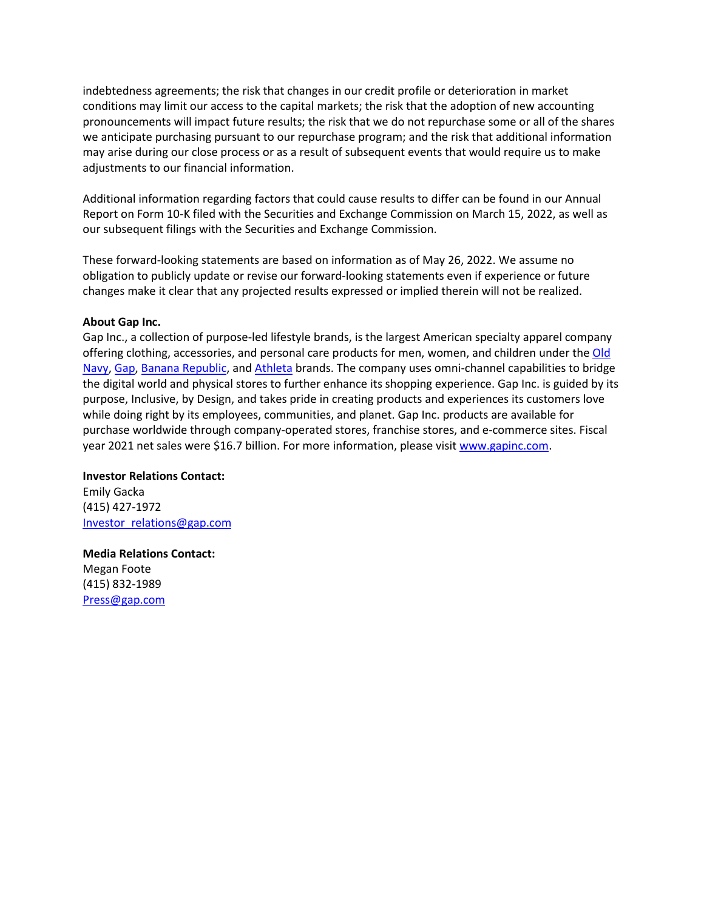indebtedness agreements; the risk that changes in our credit profile or deterioration in market conditions may limit our access to the capital markets; the risk that the adoption of new accounting pronouncements will impact future results; the risk that we do not repurchase some or all of the shares we anticipate purchasing pursuant to our repurchase program; and the risk that additional information may arise during our close process or as a result of subsequent events that would require us to make adjustments to our financial information.

Additional information regarding factors that could cause results to differ can be found in our Annual Report on Form 10-K filed with the Securities and Exchange Commission on March 15, 2022, as well as our subsequent filings with the Securities and Exchange Commission.

These forward-looking statements are based on information as of May 26, 2022. We assume no obligation to publicly update or revise our forward-looking statements even if experience or future changes make it clear that any projected results expressed or implied therein will not be realized.

#### **About Gap Inc.**

Gap Inc., a collection of purpose-led lifestyle brands, is the largest American specialty apparel company offering clothing, accessories, and personal care products for men, women, and children under th[e Old](https://oldnavy.gap.com/)  [Navy,](https://oldnavy.gap.com/) [Gap,](https://www.gap.com/) [Banana Republic,](https://bananarepublic.gap.com/) an[d Athleta](https://athleta.gap.com/) brands. The company uses omni-channel capabilities to bridge the digital world and physical stores to further enhance its shopping experience. Gap Inc. is guided by its purpose, Inclusive, by Design, and takes pride in creating products and experiences its customers love while doing right by its employees, communities, and planet. Gap Inc. products are available for purchase worldwide through company-operated stores, franchise stores, and e-commerce sites. Fiscal year 2021 net sales were \$16.7 billion. For more information, please visit [www.gapinc.com.](http://www.gapinc.com/)

**Investor Relations Contact:**  Emily Gacka (415) 427-1972 [Investor\\_relations@gap.com](mailto:Investor_relations@gap.com)

**Media Relations Contact:** Megan Foote (415) 832-1989 [Press@gap.com](mailto:Press@gap.com)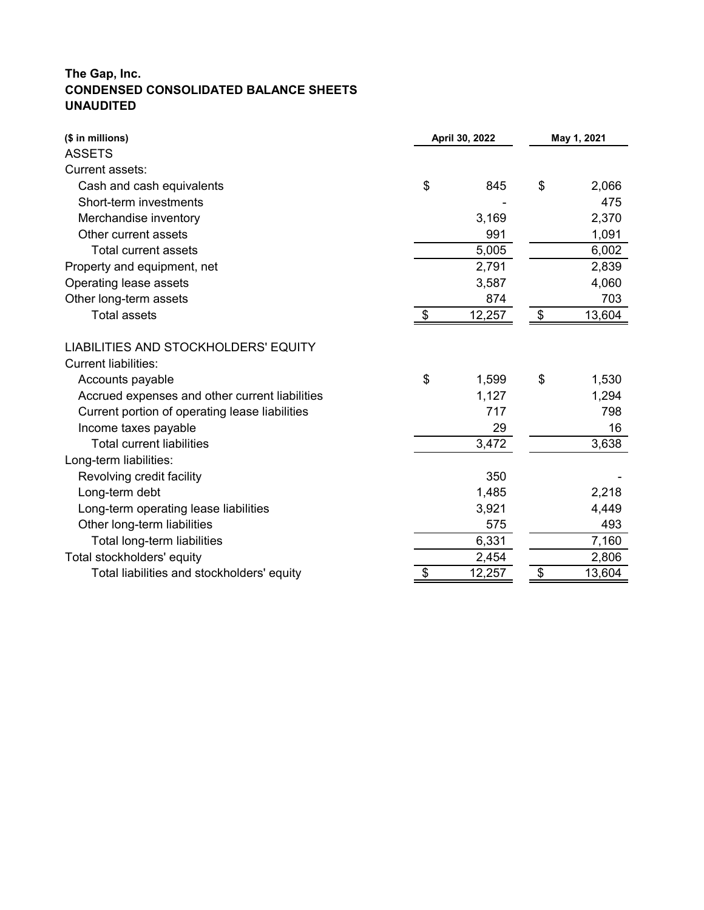# **The Gap, Inc. CONDENSED CONSOLIDATED BALANCE SHEETS UNAUDITED**

| (\$ in millions)                               |                            | April 30, 2022 | May 1, 2021 |        |  |
|------------------------------------------------|----------------------------|----------------|-------------|--------|--|
| <b>ASSETS</b>                                  |                            |                |             |        |  |
| Current assets:                                |                            |                |             |        |  |
| Cash and cash equivalents                      | \$                         | 845            | \$          | 2,066  |  |
| Short-term investments                         |                            |                |             | 475    |  |
| Merchandise inventory                          |                            | 3,169          |             | 2,370  |  |
| Other current assets                           |                            | 991            |             | 1,091  |  |
| <b>Total current assets</b>                    |                            | 5,005          |             | 6,002  |  |
| Property and equipment, net                    |                            | 2,791          |             | 2,839  |  |
| Operating lease assets                         |                            | 3,587          |             | 4,060  |  |
| Other long-term assets                         |                            | 874            |             | 703    |  |
| <b>Total assets</b>                            | $\boldsymbol{\mathsf{\$}}$ | 12,257         | \$          | 13,604 |  |
| LIABILITIES AND STOCKHOLDERS' EQUITY           |                            |                |             |        |  |
| <b>Current liabilities:</b>                    |                            |                |             |        |  |
| Accounts payable                               | \$                         | 1,599          | \$          | 1,530  |  |
| Accrued expenses and other current liabilities |                            | 1,127          |             | 1,294  |  |
| Current portion of operating lease liabilities |                            | 717            |             | 798    |  |
| Income taxes payable                           |                            | 29             |             | 16     |  |
| <b>Total current liabilities</b>               |                            | 3,472          |             | 3,638  |  |
| Long-term liabilities:                         |                            |                |             |        |  |
| Revolving credit facility                      |                            | 350            |             |        |  |
| Long-term debt                                 |                            | 1,485          |             | 2,218  |  |
| Long-term operating lease liabilities          |                            | 3,921          |             | 4,449  |  |
| Other long-term liabilities                    |                            | 575            |             | 493    |  |
| Total long-term liabilities                    |                            | 6,331          |             | 7,160  |  |
| Total stockholders' equity                     |                            | 2,454          |             | 2,806  |  |
| Total liabilities and stockholders' equity     | \$                         | 12,257         | \$          | 13,604 |  |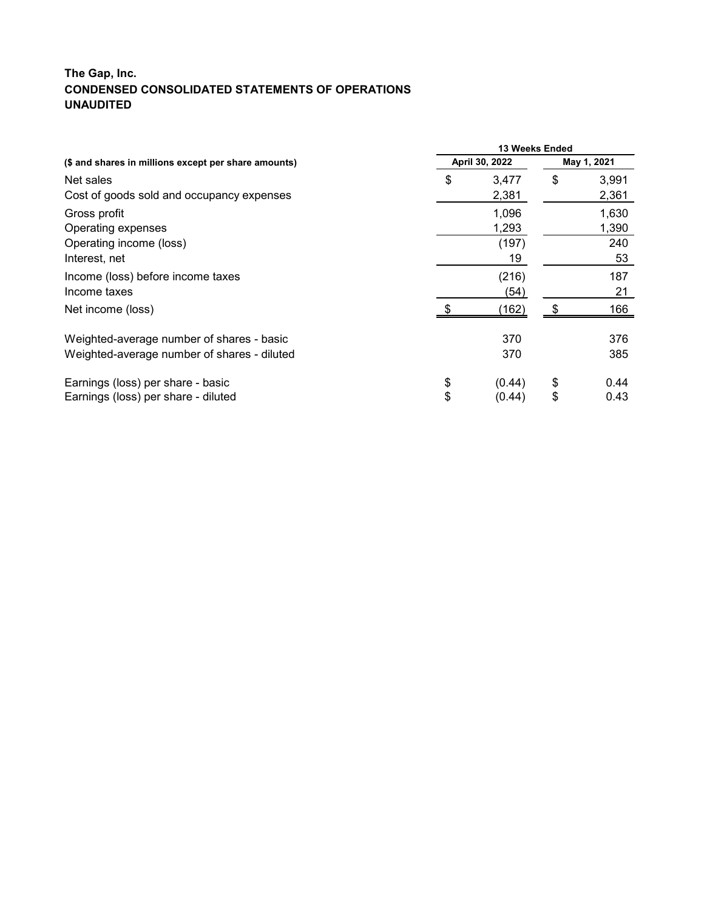# **The Gap, Inc. CONDENSED CONSOLIDATED STATEMENTS OF OPERATIONS UNAUDITED**

|                                                      | 13 Weeks Ended |                |    |       |  |  |  |
|------------------------------------------------------|----------------|----------------|----|-------|--|--|--|
| (\$ and shares in millions except per share amounts) |                | April 30, 2022 |    |       |  |  |  |
| Net sales                                            | \$             | 3,477          | \$ | 3,991 |  |  |  |
| Cost of goods sold and occupancy expenses            |                | 2,381          |    | 2,361 |  |  |  |
| Gross profit                                         |                | 1,096          |    | 1,630 |  |  |  |
| Operating expenses                                   |                | 1,293          |    | 1,390 |  |  |  |
| Operating income (loss)                              |                | (197)          |    | 240   |  |  |  |
| Interest, net                                        |                | 19             |    | 53    |  |  |  |
| Income (loss) before income taxes                    |                | (216)          |    | 187   |  |  |  |
| Income taxes                                         |                | (54)           |    | 21    |  |  |  |
| Net income (loss)                                    |                | (162)          |    | 166   |  |  |  |
| Weighted-average number of shares - basic            |                | 370            |    | 376   |  |  |  |
| Weighted-average number of shares - diluted          |                | 370            |    | 385   |  |  |  |
| Earnings (loss) per share - basic                    | \$             | (0.44)         | \$ | 0.44  |  |  |  |
| Earnings (loss) per share - diluted                  | \$             | (0.44)         | \$ | 0.43  |  |  |  |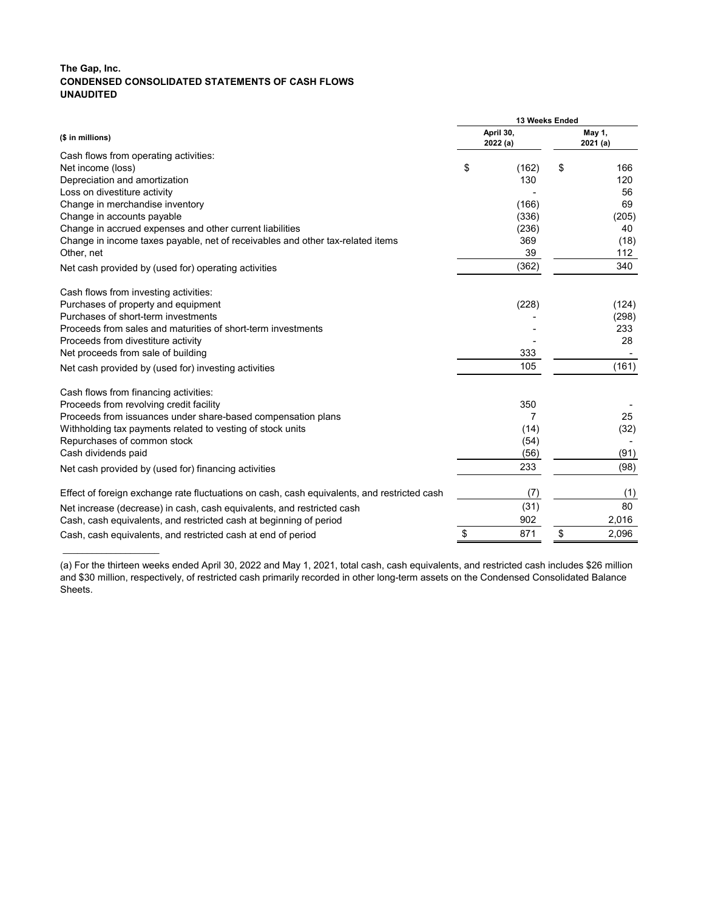# **The Gap, Inc. CONDENSED CONSOLIDATED STATEMENTS OF CASH FLOWS UNAUDITED**

\_\_\_\_\_\_\_\_\_\_\_\_\_\_\_\_\_\_\_\_

|                                                                                             | 13 Weeks Ended |                      |    |                   |  |  |  |
|---------------------------------------------------------------------------------------------|----------------|----------------------|----|-------------------|--|--|--|
| (\$ in millions)                                                                            |                | April 30,<br>2022(a) |    | May 1,<br>2021(a) |  |  |  |
| Cash flows from operating activities:                                                       |                |                      |    |                   |  |  |  |
| Net income (loss)                                                                           | \$             | (162)                | \$ | 166               |  |  |  |
| Depreciation and amortization                                                               |                | 130                  |    | 120               |  |  |  |
| Loss on divestiture activity                                                                |                |                      |    | 56                |  |  |  |
| Change in merchandise inventory                                                             |                | (166)                |    | 69                |  |  |  |
| Change in accounts payable                                                                  |                | (336)                |    | (205)             |  |  |  |
| Change in accrued expenses and other current liabilities                                    |                | (236)                |    | 40                |  |  |  |
| Change in income taxes payable, net of receivables and other tax-related items              |                | 369                  |    | (18)              |  |  |  |
| Other, net                                                                                  |                | 39                   |    | 112               |  |  |  |
| Net cash provided by (used for) operating activities                                        |                | (362)                |    | 340               |  |  |  |
| Cash flows from investing activities:                                                       |                |                      |    |                   |  |  |  |
| Purchases of property and equipment                                                         |                | (228)                |    | (124)             |  |  |  |
| Purchases of short-term investments                                                         |                |                      |    | (298)             |  |  |  |
| Proceeds from sales and maturities of short-term investments                                |                |                      |    | 233               |  |  |  |
| Proceeds from divestiture activity                                                          |                |                      |    | 28                |  |  |  |
| Net proceeds from sale of building                                                          |                | 333                  |    |                   |  |  |  |
| Net cash provided by (used for) investing activities                                        |                | 105                  |    | (161)             |  |  |  |
| Cash flows from financing activities:                                                       |                |                      |    |                   |  |  |  |
| Proceeds from revolving credit facility                                                     |                | 350                  |    |                   |  |  |  |
| Proceeds from issuances under share-based compensation plans                                |                | 7                    |    | 25                |  |  |  |
| Withholding tax payments related to vesting of stock units                                  |                | (14)                 |    | (32)              |  |  |  |
| Repurchases of common stock                                                                 |                | (54)                 |    |                   |  |  |  |
| Cash dividends paid                                                                         |                | (56)                 |    | (91)              |  |  |  |
| Net cash provided by (used for) financing activities                                        |                | 233                  |    | (98)              |  |  |  |
| Effect of foreign exchange rate fluctuations on cash, cash equivalents, and restricted cash |                | (7)                  |    | (1)               |  |  |  |
| Net increase (decrease) in cash, cash equivalents, and restricted cash                      |                | (31)                 |    | 80                |  |  |  |
| Cash, cash equivalents, and restricted cash at beginning of period                          |                | 902                  |    | 2,016             |  |  |  |
| Cash, cash equivalents, and restricted cash at end of period                                | \$             | 871                  | \$ | 2,096             |  |  |  |

(a) For the thirteen weeks ended April 30, 2022 and May 1, 2021, total cash, cash equivalents, and restricted cash includes \$26 million and \$30 million, respectively, of restricted cash primarily recorded in other long-term assets on the Condensed Consolidated Balance Sheets.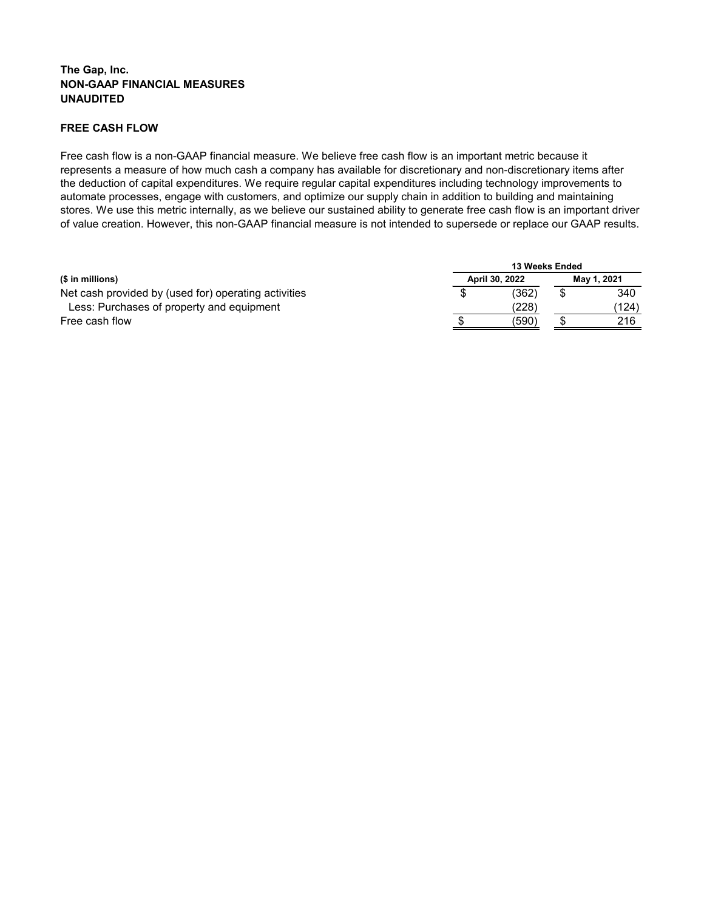# **The Gap, Inc. NON-GAAP FINANCIAL MEASURES UNAUDITED**

# **FREE CASH FLOW**

Free cash flow is a non-GAAP financial measure. We believe free cash flow is an important metric because it represents a measure of how much cash a company has available for discretionary and non-discretionary items after the deduction of capital expenditures. We require regular capital expenditures including technology improvements to automate processes, engage with customers, and optimize our supply chain in addition to building and maintaining stores. We use this metric internally, as we believe our sustained ability to generate free cash flow is an important driver of value creation. However, this non-GAAP financial measure is not intended to supersede or replace our GAAP results.

|                                                      | <b>13 Weeks Ended</b> |                |  |             |  |  |  |  |
|------------------------------------------------------|-----------------------|----------------|--|-------------|--|--|--|--|
| $($$ in millions)                                    |                       | April 30, 2022 |  | May 1, 2021 |  |  |  |  |
| Net cash provided by (used for) operating activities |                       | (362)          |  | 340         |  |  |  |  |
| Less: Purchases of property and equipment            |                       | (228)          |  | (124)       |  |  |  |  |
| Free cash flow                                       |                       | (590)          |  | 216         |  |  |  |  |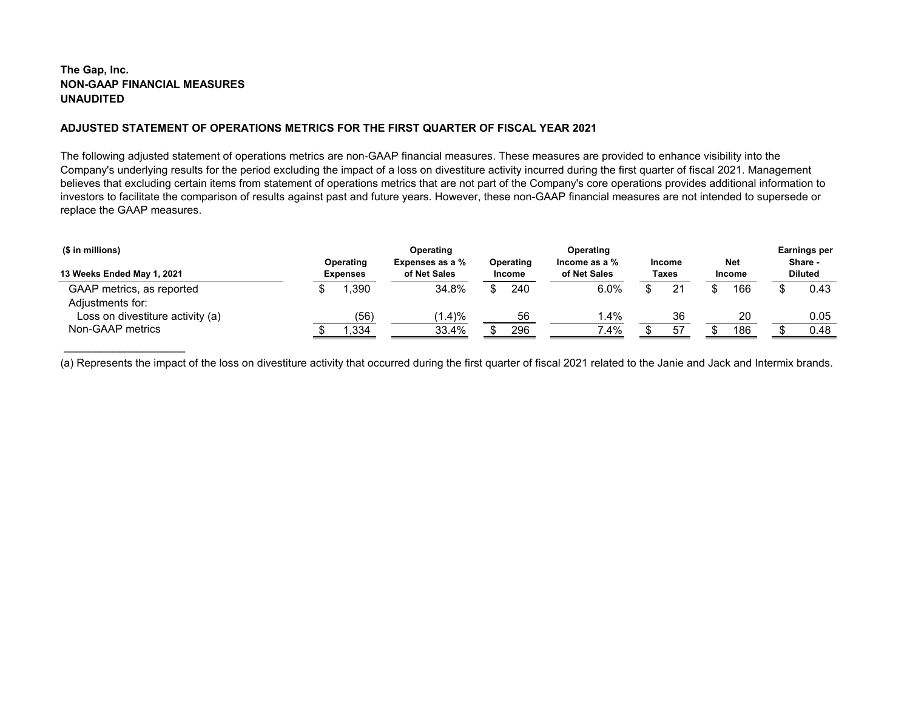# **The Gap, Inc. NON-GAAP FINANCIAL MEASURES UNAUDITED**

\_\_\_\_\_\_\_\_\_\_\_\_\_\_\_\_\_\_\_\_

## **ADJUSTED STATEMENT OF OPERATIONS METRICS FOR THE FIRST QUARTER OF FISCAL YEAR 2021**

The following adjusted statement of operations metrics are non-GAAP financial measures. These measures are provided to enhance visibility into the Company's underlying results for the period excluding the impact of a loss on divestiture activity incurred during the first quarter of fiscal 2021. Management believes that excluding certain items from statement of operations metrics that are not part of the Company's core operations provides additional information to investors to facilitate the comparison of results against past and future years. However, these non-GAAP financial measures are not intended to supersede or replace the GAAP measures.

| (\$ in millions)<br>13 Weeks Ended May 1, 2021 | Operating<br><b>Expenses</b> | Operating<br>Expenses as a %<br>of Net Sales | Operating<br><b>Income</b> | Operating<br>Income as a $%$<br>of Net Sales |  | <b>Income</b><br><b>Taxes</b> |  | <b>Net</b><br><b>Income</b> |  | Earnings per<br>Share -<br><b>Diluted</b> |  |
|------------------------------------------------|------------------------------|----------------------------------------------|----------------------------|----------------------------------------------|--|-------------------------------|--|-----------------------------|--|-------------------------------------------|--|
| GAAP metrics, as reported<br>Adjustments for:  | ,390                         | 34.8%                                        | 240<br>¢                   | 6.0%                                         |  | 21                            |  | 166                         |  | 0.43                                      |  |
| Loss on divestiture activity (a)               | (56)                         | (1.4)%                                       | 56                         | $1.4\%$                                      |  | 36                            |  | 20                          |  | 0.05                                      |  |
| Non-GAAP metrics                               | ,334                         | 33.4%                                        | 296                        | 7.4%                                         |  | -57                           |  | 186                         |  | 0.48                                      |  |

(a) Represents the impact of the loss on divestiture activity that occurred during the first quarter of fiscal 2021 related to the Janie and Jack and Intermix brands.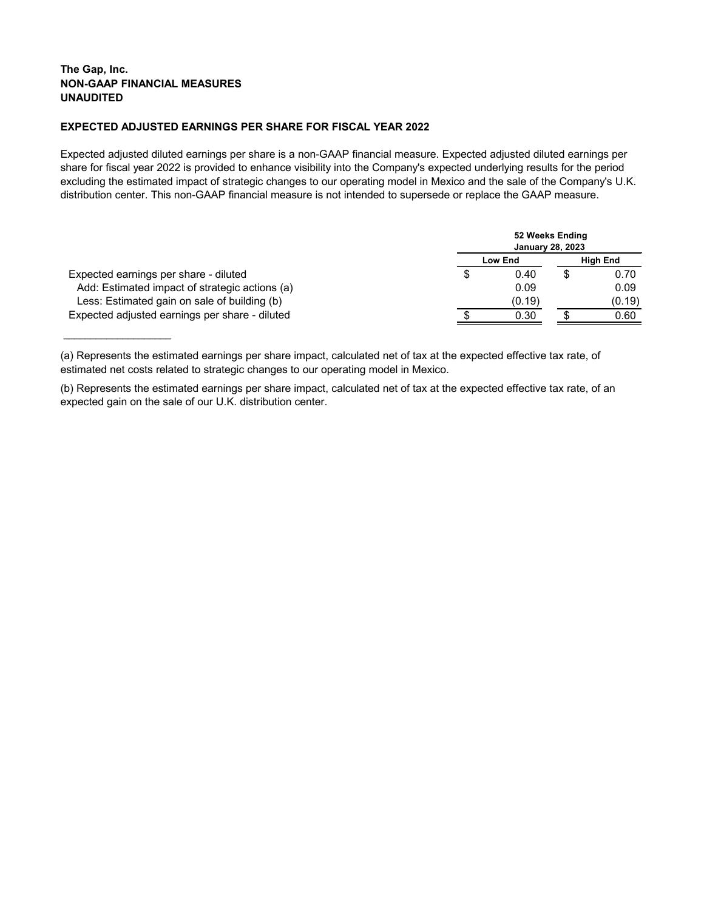## **The Gap, Inc. NON-GAAP FINANCIAL MEASURES UNAUDITED**

\_\_\_\_\_\_\_\_\_\_\_\_\_\_\_\_\_\_\_\_

## **EXPECTED ADJUSTED EARNINGS PER SHARE FOR FISCAL YEAR 2022**

Expected adjusted diluted earnings per share is a non-GAAP financial measure. Expected adjusted diluted earnings per share for fiscal year 2022 is provided to enhance visibility into the Company's expected underlying results for the period excluding the estimated impact of strategic changes to our operating model in Mexico and the sale of the Company's U.K. distribution center. This non-GAAP financial measure is not intended to supersede or replace the GAAP measure.

|                                                |   |                | 52 Weeks Ending<br><b>January 28, 2023</b> |                 |
|------------------------------------------------|---|----------------|--------------------------------------------|-----------------|
|                                                |   | <b>Low End</b> |                                            | <b>High End</b> |
| Expected earnings per share - diluted          | S | 0.40           |                                            | 0.70            |
| Add: Estimated impact of strategic actions (a) |   | 0.09           |                                            | 0.09            |
| Less: Estimated gain on sale of building (b)   |   | (0.19)         |                                            | (0.19)          |
| Expected adjusted earnings per share - diluted |   | 0.30           |                                            | 0.60            |

<sup>(</sup>a) Represents the estimated earnings per share impact, calculated net of tax at the expected effective tax rate, of estimated net costs related to strategic changes to our operating model in Mexico.

<sup>(</sup>b) Represents the estimated earnings per share impact, calculated net of tax at the expected effective tax rate, of an expected gain on the sale of our U.K. distribution center.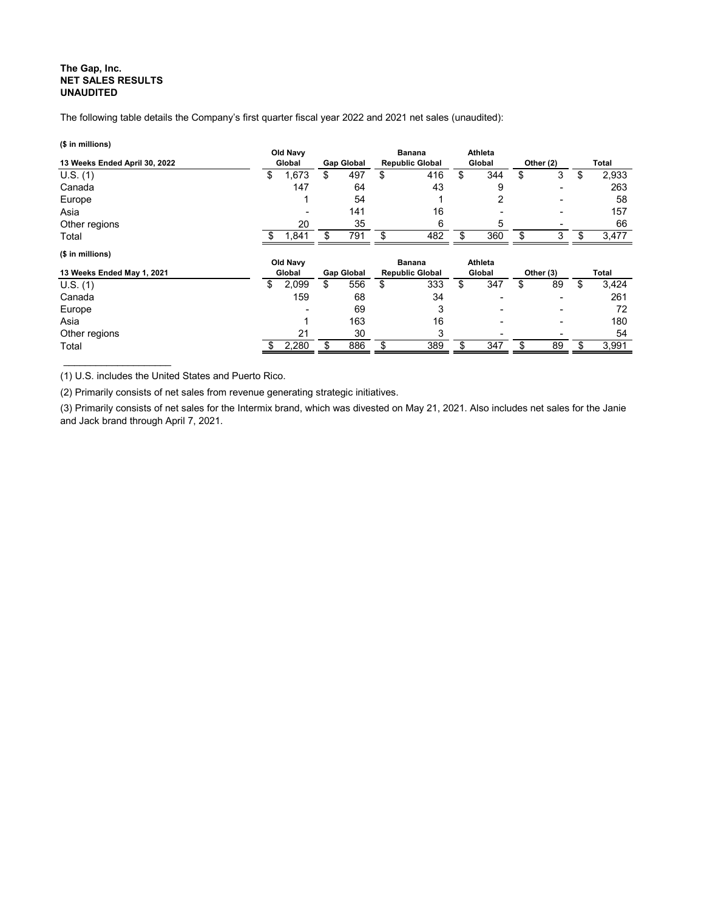## **The Gap, Inc. NET SALES RESULTS UNAUDITED**

The following table details the Company's first quarter fiscal year 2022 and 2021 net sales (unaudited):

| (\$ in millions)              |          |                 |                   |                        |                |                          |             |
|-------------------------------|----------|-----------------|-------------------|------------------------|----------------|--------------------------|-------------|
|                               | Old Navy |                 |                   | <b>Banana</b>          | <b>Athleta</b> |                          |             |
| 13 Weeks Ended April 30, 2022 |          | Global          | <b>Gap Global</b> | <b>Republic Global</b> | Global         | Other (2)                | Total       |
| U.S. (1)                      | \$       | 1,673           | \$<br>497         | \$<br>416              | \$<br>344      | \$<br>3                  | \$<br>2,933 |
| Canada                        |          | 147             | 64                | 43                     | 9              | $\blacksquare$           | 263         |
| Europe                        |          |                 | 54                |                        | 2              |                          | 58          |
| Asia                          |          |                 | 141               | 16                     |                | $\overline{\phantom{0}}$ | 157         |
| Other regions                 |          | 20              | 35                | 6                      | 5              |                          | 66          |
| Total                         |          | 1,841           | 791               | \$<br>482              | \$<br>360      | \$<br>3                  | \$<br>3,477 |
| $$$ in millions)              |          |                 |                   |                        |                |                          |             |
|                               |          | <b>Old Navy</b> |                   | <b>Banana</b>          | <b>Athleta</b> |                          |             |
| 13 Weeks Ended May 1, 2021    |          | Global          | <b>Gap Global</b> | <b>Republic Global</b> | Global         | Other (3)                | Total       |
| U.S. (1)                      | \$       | 2,099           | \$<br>556         | \$<br>333              | \$<br>347      | \$<br>89                 | \$<br>3,424 |
| Canada                        |          | 159             | 68                | 34                     |                |                          | 261         |
| Europe                        |          |                 | 69                | 3                      |                |                          | 72          |
| Asia                          |          |                 | 163               | 16                     |                | $\overline{\phantom{0}}$ | 180         |
| Other regions                 |          | 21              | 30                | 3                      |                |                          | 54          |
|                               |          |                 |                   |                        |                |                          |             |

(1) U.S. includes the United States and Puerto Rico.

\_\_\_\_\_\_\_\_\_\_\_\_\_\_\_\_\_\_\_\_

(2) Primarily consists of net sales from revenue generating strategic initiatives.

(3) Primarily consists of net sales for the Intermix brand, which was divested on May 21, 2021. Also includes net sales for the Janie and Jack brand through April 7, 2021.